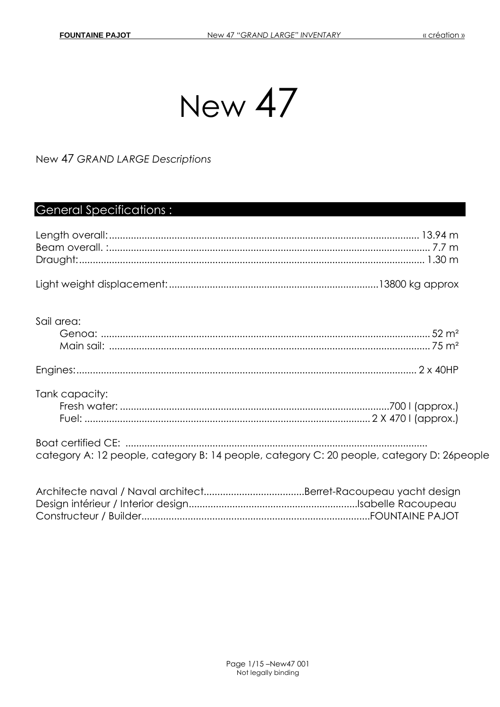New 47

New 47 GRAND LARGE Descriptions

# **General Specifications:**

| Sail area:                                                                                 |  |
|--------------------------------------------------------------------------------------------|--|
|                                                                                            |  |
| Tank capacity:                                                                             |  |
| category A: 12 people, category B: 14 people, category C: 20 people, category D: 26 people |  |
|                                                                                            |  |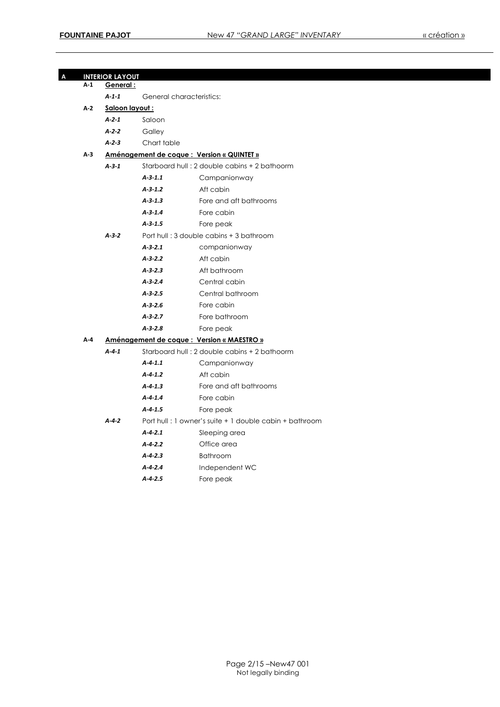| $A-1$ | <b>INTERIOR LAYOUT</b><br>General:  |                                                        |                                              |  |
|-------|-------------------------------------|--------------------------------------------------------|----------------------------------------------|--|
|       | $A - 1 - 1$                         | General characteristics:                               |                                              |  |
| $A-2$ |                                     |                                                        |                                              |  |
|       | Saloon layout :<br>A <sub>2</sub> 1 |                                                        |                                              |  |
|       |                                     | Saloon                                                 |                                              |  |
|       | $A-2-2$                             |                                                        | Galley                                       |  |
|       | $A2$ 3                              | Chart table                                            |                                              |  |
| A-3   |                                     | Aménagement de coque : Version « QUINTET »             |                                              |  |
|       | $A-3-1$                             | Starboard hull: 2 double cabins + 2 bathoorm           |                                              |  |
|       |                                     | $A - 3 - 1.1$                                          | Campanionway                                 |  |
|       |                                     | $A - 3 - 1.2$                                          | Aft cabin                                    |  |
|       |                                     | $A - 3 - 1.3$                                          | Fore and aft bathrooms                       |  |
|       |                                     | $A - 3 - 1.4$                                          | Fore cabin                                   |  |
|       |                                     | $A - 3 - 1.5$                                          | Fore peak                                    |  |
|       | $A - 3 - 2$                         |                                                        | Port hull: 3 double cabins + 3 bathroom      |  |
|       |                                     | $A-3-2.1$                                              | companionway                                 |  |
|       |                                     | $A - 3 - 2.2$                                          | Aft cabin                                    |  |
|       |                                     | $A - 3 - 2.3$                                          | Aft bathroom                                 |  |
|       |                                     | $A - 3 - 2.4$                                          | Central cabin                                |  |
|       |                                     | $A - 3 - 2.5$                                          | Central bathroom                             |  |
|       |                                     | $A - 3 - 2.6$                                          | Fore cabin                                   |  |
|       |                                     | $A - 3 - 2.7$                                          | Fore bathroom                                |  |
|       |                                     | $A-3-2.8$                                              | Fore peak                                    |  |
| $A-4$ |                                     |                                                        | Aménagement de coque : Version « MAESTRO »   |  |
|       | $A - 4 - 1$                         |                                                        | Starboard hull: 2 double cabins + 2 bathoorm |  |
|       |                                     | $A - 4 - 1.1$                                          | Campanionway                                 |  |
|       |                                     | $A - 4 - 1.2$                                          | Aft cabin                                    |  |
|       |                                     | $A - 4 - 1.3$                                          | Fore and aft bathrooms                       |  |
|       |                                     | $A - 4 - 1.4$                                          | Fore cabin                                   |  |
|       |                                     | $A - 4 - 1.5$                                          | Fore peak                                    |  |
|       | $A-4-2$                             | Port hull: 1 owner's suite + 1 double cabin + bathroom |                                              |  |
|       |                                     | $A - 4 - 2.1$                                          | Sleeping area                                |  |
|       |                                     | $A - 4 - 2.2$                                          | Office area                                  |  |
|       |                                     | $A - 4 - 2.3$                                          | <b>Bathroom</b>                              |  |
|       |                                     | $A - 4 - 2.4$                                          | Independent WC                               |  |
|       |                                     | $A - 4 - 2.5$                                          | Fore peak                                    |  |
|       |                                     |                                                        |                                              |  |
|       |                                     |                                                        |                                              |  |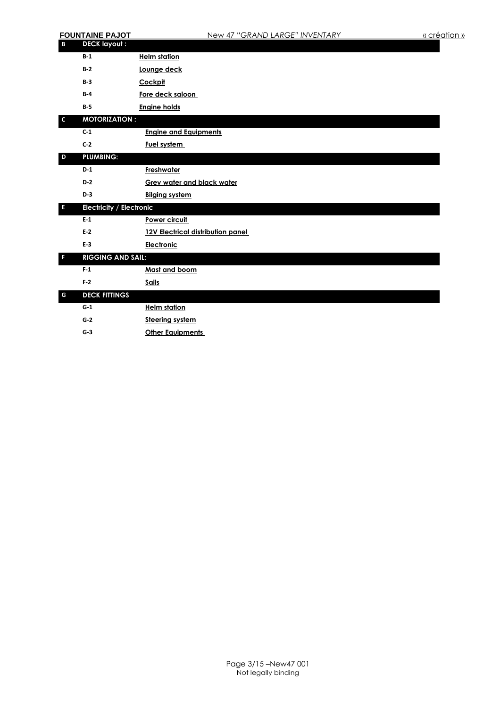|              | <b>FOUNTAINE PAJOT</b>          | New 47 "GRAND LARGE" INVENTARY           | « création » |
|--------------|---------------------------------|------------------------------------------|--------------|
| B            | <b>DECK layout:</b>             |                                          |              |
|              | $B-1$                           | <b>Helm station</b>                      |              |
|              | $B-2$                           | Lounge deck                              |              |
|              | $B-3$                           | Cockpit                                  |              |
|              | $B-4$                           | Fore deck saloon                         |              |
|              | $B - 5$                         | <b>Engine holds</b>                      |              |
| $\mathsf{c}$ | <b>MOTORIZATION:</b>            |                                          |              |
|              | C <sub>1</sub>                  | <b>Engine and Equipments</b>             |              |
|              | $C-2$                           | Fuel system                              |              |
| D            | <b>PLUMBING:</b>                |                                          |              |
|              | $D-1$                           | <b>Freshwater</b>                        |              |
|              | $D-2$                           | <b>Grey water and black water</b>        |              |
|              | $D-3$                           | <b>Bilging system</b>                    |              |
| E            | <b>Electricity / Electronic</b> |                                          |              |
|              | $F-1$                           | Power circuit                            |              |
|              | $E-2$                           | <b>12V Electrical distribution panel</b> |              |
|              | $E-3$                           | Electronic                               |              |
| F            | <b>RIGGING AND SAIL:</b>        |                                          |              |
|              | F <sub>1</sub>                  | Mast and boom                            |              |
|              | $F-2$                           | <b>Sails</b>                             |              |
| G            | <b>DECK FITTINGS</b>            |                                          |              |
|              | $G-1$                           | <b>Helm station</b>                      |              |
|              | $G-2$                           | <b>Steering system</b>                   |              |
|              | $G-3$                           | <b>Other Equipments</b>                  |              |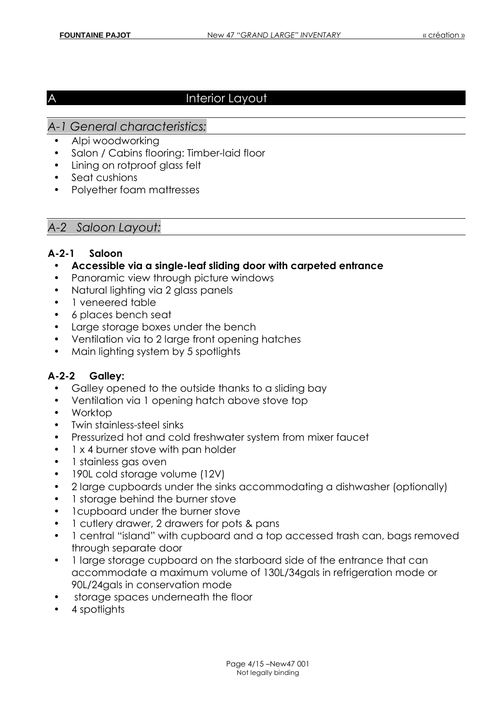# A Interior Layout

## *A-1 General characteristics:*

- Alpi woodworking
- Salon / Cabins flooring: Timber-laid floor
- Lining on rotproof glass felt
- Seat cushions
- Polyether foam mattresses

# *A-2 Saloon Layout:*

### **A-2-1 Saloon**

- **Accessible via a single-leaf sliding door with carpeted entrance**
- Panoramic view through picture windows
- Natural lighting via 2 glass panels
- 1 veneered table
- 6 places bench seat
- Large storage boxes under the bench
- Ventilation via to 2 large front opening hatches
- Main lighting system by 5 spotlights

# **A-2-2 Galley:**

- Galley opened to the outside thanks to a sliding bay
- Ventilation via 1 opening hatch above stove top
- Worktop
- Twin stainless-steel sinks
- Pressurized hot and cold freshwater system from mixer faucet
- 1 x 4 burner stove with pan holder
- 1 stainless gas oven
- 190L cold storage volume (12V)
- 2 large cupboards under the sinks accommodating a dishwasher (optionally)
- 1 storage behind the burner stove
- 1cupboard under the burner stove
- 1 cutlery drawer, 2 drawers for pots & pans
- 1 central "island" with cupboard and a top accessed trash can, bags removed through separate door
- 1 large storage cupboard on the starboard side of the entrance that can accommodate a maximum volume of 130L/34gals in refrigeration mode or 90L/24gals in conservation mode
- storage spaces underneath the floor
- 4 spotlights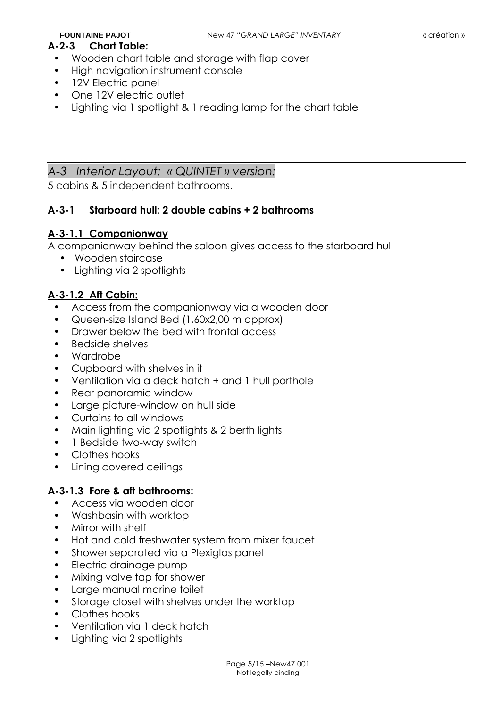#### **A-2-3 Chart Table:**

- Wooden chart table and storage with flap cover
- High navigation instrument console
- 12V Electric panel
- One 12V electric outlet
- Lighting via 1 spotlight & 1 reading lamp for the chart table

# *A-3 Interior Layout: « QUINTET » version:*

5 cabins & 5 independent bathrooms.

# **A-3-1 Starboard hull: 2 double cabins + 2 bathrooms**

# **A-3-1.1 Companionway**

A companionway behind the saloon gives access to the starboard hull

- Wooden staircase
- Lighting via 2 spotlights

# **A-3-1.2 Aft Cabin:**

- Access from the companionway via a wooden door
- Queen-size Island Bed (1,60x2,00 m approx)
- Drawer below the bed with frontal access
- Bedside shelves
- Wardrobe
- Cupboard with shelves in it
- Ventilation via a deck hatch + and 1 hull porthole
- Rear panoramic window
- Large picture-window on hull side
- Curtains to all windows
- Main lighting via 2 spotlights & 2 berth lights
- 1 Bedside two-way switch
- Clothes hooks
- Lining covered ceilings

# **A-3-1.3 Fore & aft bathrooms:**

- Access via wooden door
- Washbasin with worktop
- Mirror with shelf
- Hot and cold freshwater system from mixer faucet
- Shower separated via a Plexiglas panel
- Electric drainage pump
- Mixing valve tap for shower
- Large manual marine toilet
- Storage closet with shelves under the worktop
- Clothes hooks
- Ventilation via 1 deck hatch
- Lighting via 2 spotlights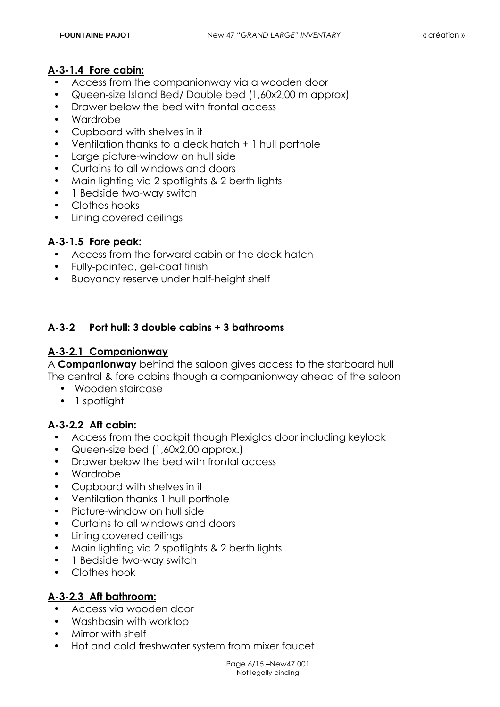### **A-3-1.4 Fore cabin:**

- Access from the companionway via a wooden door
- Queen-size Island Bed/ Double bed (1,60x2,00 m approx)
- Drawer below the bed with frontal access
- Wardrobe
- Cupboard with shelves in it
- Ventilation thanks to a deck hatch + 1 hull porthole
- Large picture-window on hull side
- Curtains to all windows and doors
- Main lighting via 2 spotlights & 2 berth lights
- 1 Bedside two-way switch
- Clothes hooks
- Lining covered ceilings

### **A-3-1.5 Fore peak:**

- Access from the forward cabin or the deck hatch
- Fully-painted, gel-coat finish
- Buoyancy reserve under half-height shelf

### **A-3-2 Port hull: 3 double cabins + 3 bathrooms**

## **A-3-2.1 Companionway**

A **Companionway** behind the saloon gives access to the starboard hull The central & fore cabins though a companionway ahead of the saloon

- Wooden staircase
- 1 spotlight

### **A-3-2.2 Aft cabin:**

- Access from the cockpit though Plexiglas door including keylock
- Queen-size bed (1,60x2,00 approx.)
- Drawer below the bed with frontal access
- Wardrobe
- Cupboard with shelves in it
- Ventilation thanks 1 hull porthole
- Picture-window on hull side
- Curtains to all windows and doors
- Lining covered ceilings
- Main lighting via 2 spotlights & 2 berth lights
- 1 Bedside two-way switch
- Clothes hook

### **A-3-2.3 Aft bathroom:**

- Access via wooden door
- Washbasin with worktop
- Mirror with shelf
- Hot and cold freshwater system from mixer faucet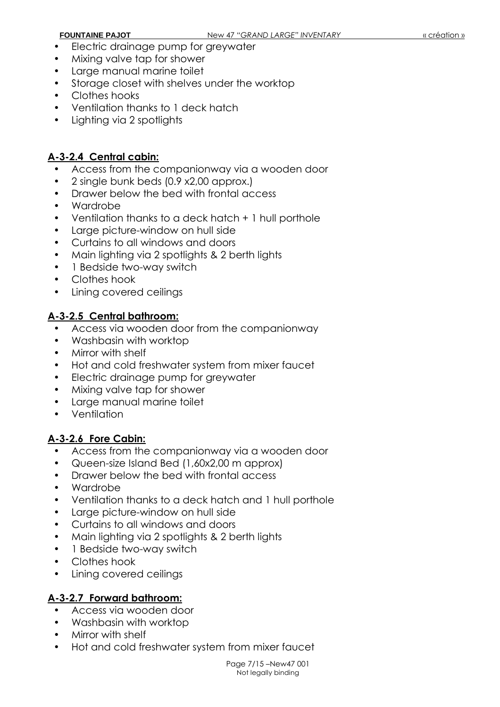- Electric drainage pump for greywater
- Mixing valve tap for shower
- Large manual marine toilet
- Storage closet with shelves under the worktop
- Clothes hooks
- Ventilation thanks to 1 deck hatch
- Lighting via 2 spotlights

#### **A-3-2.4 Central cabin:**

- Access from the companionway via a wooden door
- 2 single bunk beds (0.9 x2,00 approx.)
- Drawer below the bed with frontal access
- Wardrobe
- Ventilation thanks to a deck hatch + 1 hull porthole
- Large picture-window on hull side
- Curtains to all windows and doors
- Main lighting via 2 spotlights & 2 berth lights
- 1 Bedside two-way switch
- Clothes hook
- Lining covered ceilings

#### **A-3-2.5 Central bathroom:**

- Access via wooden door from the companionway
- Washbasin with worktop
- Mirror with shelf
- Hot and cold freshwater system from mixer faucet
- Electric drainage pump for greywater
- Mixing valve tap for shower
- Large manual marine toilet
- Ventilation

### **A-3-2.6 Fore Cabin:**

- Access from the companionway via a wooden door
- Queen-size Island Bed (1,60x2,00 m approx)
- Drawer below the bed with frontal access
- Wardrobe
- Ventilation thanks to a deck hatch and 1 hull porthole
- Large picture-window on hull side
- Curtains to all windows and doors
- Main lighting via 2 spotlights & 2 berth lights
- 1 Bedside two-way switch
- Clothes hook
- Lining covered ceilings

#### **A-3-2.7 Forward bathroom:**

- Access via wooden door
- Washbasin with worktop
- Mirror with shelf
- Hot and cold freshwater system from mixer faucet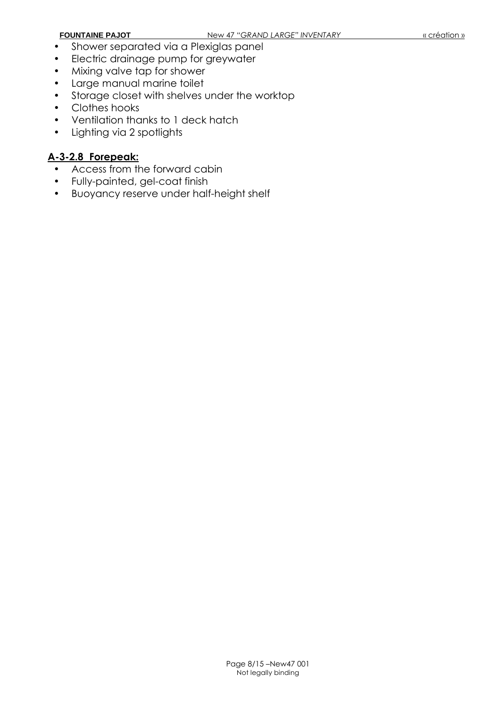- Shower separated via a Plexiglas panel
- Electric drainage pump for greywater
- Mixing valve tap for shower
- Large manual marine toilet
- Storage closet with shelves under the worktop
- Clothes hooks
- Ventilation thanks to 1 deck hatch
- Lighting via 2 spotlights

# **A-3-2.8 Forepeak:**

- Access from the forward cabin
- Fully-painted, gel-coat finish
- Buoyancy reserve under half-height shelf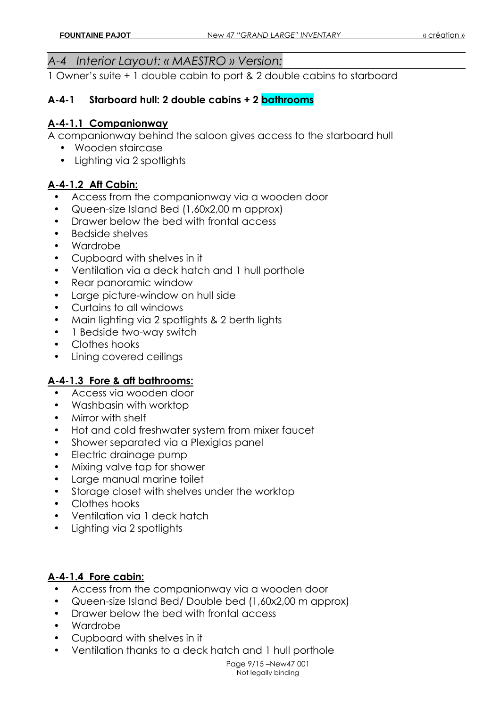# *A-4 Interior Layout: « MAESTRO » Version:*

1 Owner's suite + 1 double cabin to port & 2 double cabins to starboard

#### **A-4-1 Starboard hull: 2 double cabins + 2 bathrooms**

#### **A-4-1.1 Companionway**

A companionway behind the saloon gives access to the starboard hull

- Wooden staircase
- Lighting via 2 spotlights

### **A-4-1.2 Aft Cabin:**

- Access from the companionway via a wooden door
- Queen-size Island Bed (1,60x2,00 m approx)
- Drawer below the bed with frontal access
- Bedside shelves
- Wardrobe
- Cupboard with shelves in it
- Ventilation via a deck hatch and 1 hull porthole
- Rear panoramic window
- Large picture-window on hull side
- Curtains to all windows
- Main lighting via 2 spotlights & 2 berth lights
- 1 Bedside two-way switch
- Clothes hooks
- Lining covered ceilings

#### **A-4-1.3 Fore & aft bathrooms:**

- Access via wooden door
- Washbasin with worktop
- Mirror with shelf
- Hot and cold freshwater system from mixer faucet
- Shower separated via a Plexiglas panel
- Electric drainage pump
- Mixing valve tap for shower
- Large manual marine toilet
- Storage closet with shelves under the worktop
- Clothes hooks
- Ventilation via 1 deck hatch
- Lighting via 2 spotlights

#### **A-4-1.4 Fore cabin:**

- Access from the companionway via a wooden door
- Queen-size Island Bed/ Double bed (1,60x2,00 m approx)
- Drawer below the bed with frontal access
- Wardrobe
- Cupboard with shelves in it
- Ventilation thanks to a deck hatch and 1 hull porthole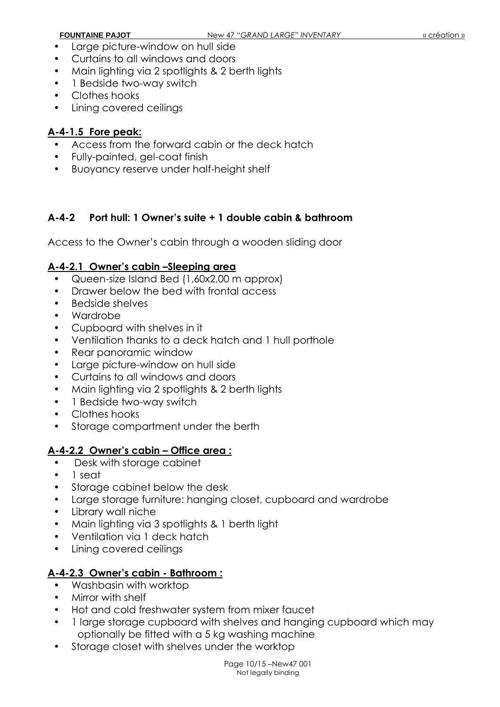- Large picture-window on hull side
- Curtains to all windows and doors
- Main lighting via 2 spotlights & 2 berth lights
- 1 Bedside two-way switch
- Clothes hooks
- Lining covered ceilings

#### **A-4-1.5 Fore peak:**

- Access from the forward cabin or the deck hatch
- Fully-painted, gel-coat finish
- Buoyancy reserve under half-height shelf

### **A-4-2 Port hull: 1 Owner's suite + 1 double cabin & bathroom**

Access to the Owner's cabin through a wooden sliding door

#### **A-4-2.1 Owner's cabin –Sleeping area**

- Queen-size Island Bed (1,60x2,00 m approx)
- Drawer below the bed with frontal access
- Bedside shelves
- Wardrobe
- Cupboard with shelves in it
- Ventilation thanks to a deck hatch and 1 hull porthole
- Rear panoramic window
- Large picture-window on hull side
- Curtains to all windows and doors
- Main lighting via 2 spotlights & 2 berth lights
- 1 Bedside two-way switch
- Clothes hooks
- Storage compartment under the berth

### **A-4-2.2 Owner's cabin – Office area :**

- Desk with storage cabinet
- 1 seat
- Storage cabinet below the desk
- Large storage furniture: hanging closet, cupboard and wardrobe
- Library wall niche
- Main lighting via 3 spotlights & 1 berth light
- Ventilation via 1 deck hatch
- Lining covered ceilings

### **A-4-2.3 Owner's cabin - Bathroom :**

- Washbasin with worktop
- Mirror with shelf
- Hot and cold freshwater system from mixer faucet
- 1 large storage cupboard with shelves and hanging cupboard which may optionally be fitted with a 5 kg washing machine
- Storage closet with shelves under the worktop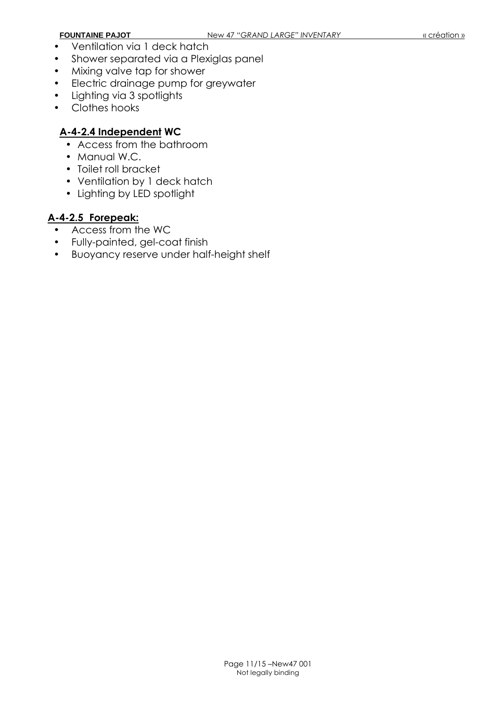- Ventilation via 1 deck hatch
- Shower separated via a Plexiglas panel
- Mixing valve tap for shower
- Electric drainage pump for greywater
- Lighting via 3 spotlights
- Clothes hooks

# **A-4-2.4 Independent WC**

- Access from the bathroom
- Manual W.C.
- Toilet roll bracket
- Ventilation by 1 deck hatch
- Lighting by LED spotlight

# **A-4-2.5 Forepeak:**

- Access from the WC
- Fully-painted, gel-coat finish
- Buoyancy reserve under half-height shelf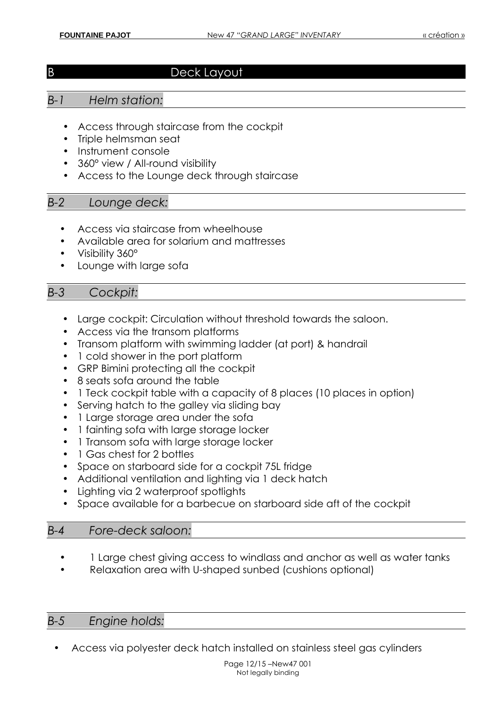# B Deck Layout

### *B-1 Helm station:*

- Access through staircase from the cockpit
- Triple helmsman seat
- Instrument console
- 360° view / All-round visibility
- Access to the Lounge deck through staircase

### *B-2 Lounge deck:*

- Access via staircase from wheelhouse
- Available area for solarium and mattresses
- Visibility 360°
- Lounge with large sofa

### *B-3 Cockpit:*

- Large cockpit: Circulation without threshold towards the saloon.
- Access via the transom platforms
- Transom platform with swimming ladder (at port) & handrail
- 1 cold shower in the port platform
- GRP Bimini protecting all the cockpit
- 8 seats sofa around the table
- 1 Teck cockpit table with a capacity of 8 places (10 places in option)
- Serving hatch to the galley via sliding bay
- 1 Large storage area under the sofa
- 1 fainting sofa with large storage locker
- 1 Transom sofa with large storage locker
- 1 Gas chest for 2 bottles
- Space on starboard side for a cockpit 75L fridge
- Additional ventilation and lighting via 1 deck hatch
- Lighting via 2 waterproof spotlights
- Space available for a barbecue on starboard side aft of the cockpit

### *B-4 Fore-deck saloon:*

- 1 Large chest giving access to windlass and anchor as well as water tanks
- Relaxation area with U-shaped sunbed (cushions optional)

### *B-5 Engine holds:*

• Access via polyester deck hatch installed on stainless steel gas cylinders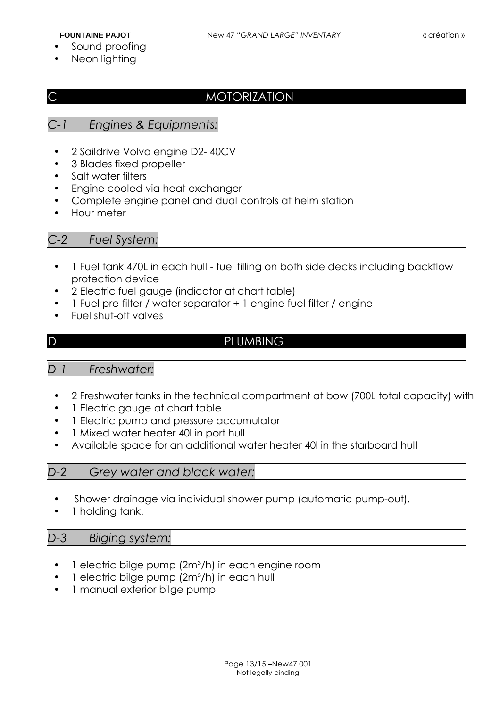- Sound proofing
- Neon lighting

# C MOTORIZATION

#### *C-1 Engines & Equipments:*

- 2 Saildrive Volvo engine D2- 40CV
- 3 Blades fixed propeller
- Salt water filters
- Engine cooled via heat exchanger
- Complete engine panel and dual controls at helm station
- Hour meter

*C-2 Fuel System:*

- 1 Fuel tank 470L in each hull fuel filling on both side decks including backflow protection device
- 2 Electric fuel gauge (indicator at chart table)
- 1 Fuel pre-filter / water separator + 1 engine fuel filter / engine
- Fuel shut-off valves

# D PLUMBING

*D-1 Freshwater:*

- 2 Freshwater tanks in the technical compartment at bow (700L total capacity) with
- 1 Electric gauge at chart table
- 1 Electric pump and pressure accumulator
- 1 Mixed water heater 40l in port hull
- Available space for an additional water heater 40l in the starboard hull

*D-2 Grey water and black water:*

- Shower drainage via individual shower pump (automatic pump-out).
- 1 holding tank.

#### *D-3 Bilging system:*

- 1 electric bilge pump (2m<sup>3</sup>/h) in each engine room
- 1 electric bilge pump (2m<sup>3</sup>/h) in each hull
- 1 manual exterior bilge pump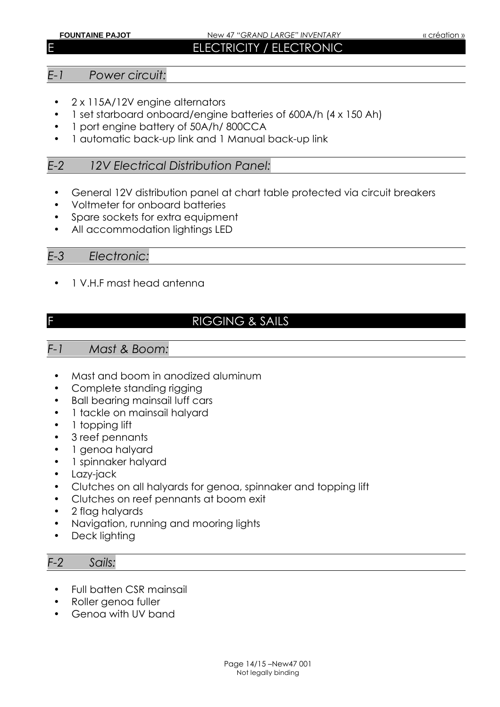**FOUNTAINE PAJOT** New 47 "*GRAND LARGE" INVENTARY* « création »

## E ELECTRICITY / ELECTRONIC

#### *E-1 Power circuit:*

- 2 x 115A/12V engine alternators
- 1 set starboard onboard/engine batteries of 600A/h (4 x 150 Ah)
- 1 port engine battery of 50A/h/ 800CCA
- 1 automatic back-up link and 1 Manual back-up link

### *E-2 12V Electrical Distribution Panel:*

- General 12V distribution panel at chart table protected via circuit breakers
- Voltmeter for onboard batteries
- Spare sockets for extra equipment
- All accommodation lightings LED

*E-3 Electronic:*

• 1 V.H.F mast head antenna

# RIGGING & SAILS

### *F-1 Mast & Boom:*

- Mast and boom in anodized aluminum
- Complete standing rigging
- Ball bearing mainsail luff cars
- 1 tackle on mainsail halyard
- 1 topping lift
- 3 reef pennants
- 1 genoa halyard
- 1 spinnaker halyard
- Lazy-jack
- Clutches on all halyards for genoa, spinnaker and topping lift
- Clutches on reef pennants at boom exit
- 2 flag halyards
- Navigation, running and mooring lights
- Deck lighting

# *F-2 Sails:*

- Full batten CSR mainsail
- Roller genoa fuller
- Genoa with UV band